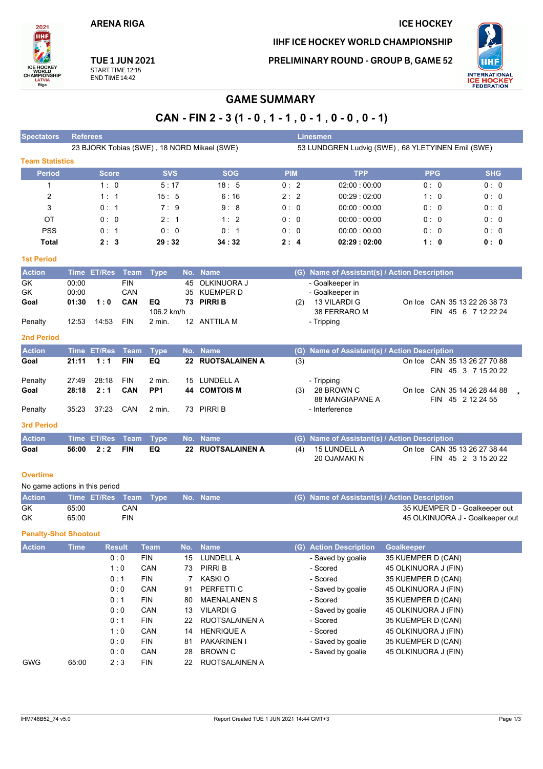**ARENA RIGA** 

# **ICE HOCKEY**

IIHF ICE HOCKEY WORLD CHAMPIONSHIP

**PRELIMINARY ROUND - GROUP B, GAME 52** 



**TUE 1 JUN 2021** START TIME 12:15<br>END TIME 14:42

2021 **IIHF** 

ICE HOCKEY<br>WORLD<br>CHAMPIONSHIP

LATVIA<br>Riga

# **GAME SUMMARY**

# CAN - FIN 2 - 3 (1 - 0, 1 - 1, 0 - 1, 0 - 0, 0 - 1)

| <b>Spectators</b>              | <b>Referees</b> |              |                    |                           |     |                                             |            |     | <b>Linesmen</b>                                                  |                      |            |                                                   |
|--------------------------------|-----------------|--------------|--------------------|---------------------------|-----|---------------------------------------------|------------|-----|------------------------------------------------------------------|----------------------|------------|---------------------------------------------------|
|                                |                 |              |                    |                           |     | 23 BJORK Tobias (SWE), 18 NORD Mikael (SWE) |            |     | 53 LUNDGREN Ludvig (SWE), 68 YLETYINEN Emil (SWE)                |                      |            |                                                   |
| <b>Team Statistics</b>         |                 |              |                    |                           |     |                                             |            |     |                                                                  |                      |            |                                                   |
| <b>Period</b>                  |                 | <b>Score</b> |                    | <b>SVS</b>                |     | <b>SOG</b>                                  | <b>PIM</b> |     | <b>TPP</b>                                                       |                      | <b>PPG</b> | <b>SHG</b>                                        |
| $\mathbf 1$                    |                 | 1:0          |                    | 5:17                      |     | 18:5                                        | 0:2        |     | 02:00:00:00                                                      |                      | 0: 0       | 0:0                                               |
| 2                              |                 | 1:1          |                    | 15:5                      |     | 6:16                                        | 2:2        |     | 00:29:02:00                                                      |                      | 1:0        | 0:0                                               |
| 3                              |                 | 0:1          |                    | 7:<br>- 9                 |     | 9:8                                         | 0:0        |     | 00:00:00:00                                                      |                      | 0: 0       | 0:0                                               |
| ОT                             |                 | 0: 0         |                    | 2:1                       |     | 1:2                                         | 0:0        |     | 00:00:00:00                                                      |                      | 0:0        | 0:0                                               |
| <b>PSS</b>                     |                 | 0:1          |                    | 0:0                       |     | 0:1                                         | 0:0        |     | 00:00:00:00                                                      |                      | 0:0        | 0:0                                               |
| <b>Total</b>                   |                 | 2:3          |                    | 29:32                     |     | 34:32                                       | 2:4        |     | 02:29:02:00                                                      |                      | 1: 0       | 0:0                                               |
| <b>1st Period</b>              |                 |              |                    |                           |     |                                             |            |     |                                                                  |                      |            |                                                   |
|                                |                 |              |                    |                           |     |                                             |            |     |                                                                  |                      |            |                                                   |
| <b>Action</b><br>GK            | 00:00           | Time ET/Res  | Team<br><b>FIN</b> | <b>Type</b>               | 45  | No. Name<br>OLKINUORA J                     |            |     | (G) Name of Assistant(s) / Action Description<br>- Goalkeeper in |                      |            |                                                   |
| GK                             | 00:00           |              | CAN                |                           | 35  | <b>KUEMPER D</b>                            |            |     | - Goalkeeper in                                                  |                      |            |                                                   |
| Goal                           | 01:30           | 1:0          | CAN                | EQ                        |     | 73 PIRRI B                                  |            | (2) | 13 VILARDI G                                                     |                      |            | On Ice CAN 35 13 22 26 38 73                      |
|                                |                 |              |                    | 106.2 km/h                |     |                                             |            |     | 38 FERRARO M                                                     |                      |            | FIN 45 6 7 12 22 24                               |
| Penalty                        | 12:53           | 14:53        | <b>FIN</b>         | 2 min.                    |     | 12 ANTTILA M                                |            |     | - Tripping                                                       |                      |            |                                                   |
| <b>2nd Period</b>              |                 |              |                    |                           |     |                                             |            |     |                                                                  |                      |            |                                                   |
| <b>Action</b>                  |                 | Time ET/Res  | Team               | <b>Type</b>               |     | No. Name                                    |            | (G) | Name of Assistant(s) / Action Description                        |                      |            |                                                   |
| Goal                           | 21:11           | 1:1          | <b>FIN</b>         | EQ                        |     | 22 RUOTSALAINEN A                           |            | (3) |                                                                  |                      |            | On Ice CAN 35 13 26 27 70 88                      |
|                                |                 |              |                    |                           |     |                                             |            |     |                                                                  |                      |            | FIN 45 3 7 15 20 22                               |
| Penalty                        | 27:49           | 28:18<br>2:1 | <b>FIN</b><br>CAN  | 2 min.<br>PP <sub>1</sub> | 15  | LUNDELL A<br><b>COMTOIS M</b>               |            |     | - Tripping                                                       |                      |            |                                                   |
| Goal                           | 28:18           |              |                    |                           | 44  |                                             |            | (3) | 28 BROWN C<br><b>88 MANGIAPANE A</b>                             |                      |            | On Ice CAN 35 14 26 28 44 88<br>FIN 45 2 12 24 55 |
| Penalty                        | 35:23           | 37:23        | CAN                | 2 min.                    |     | 73 PIRRI B                                  |            |     | - Interference                                                   |                      |            |                                                   |
| <b>3rd Period</b>              |                 |              |                    |                           |     |                                             |            |     |                                                                  |                      |            |                                                   |
| <b>Action</b>                  |                 | Time ET/Res  | Team               | <b>Type</b>               |     | No. Name                                    |            | (G) | Name of Assistant(s) / Action Description                        |                      |            |                                                   |
| Goal                           | 56:00           | 2:2          | <b>FIN</b>         | EQ                        |     | 22 RUOTSALAINEN A                           |            | (4) | 15 LUNDELL A                                                     |                      |            | On Ice CAN 35 13 26 27 38 44                      |
|                                |                 |              |                    |                           |     |                                             |            |     | 20 OJAMAKI N                                                     |                      |            | FIN 45 2 3 15 20 22                               |
| <b>Overtime</b>                |                 |              |                    |                           |     |                                             |            |     |                                                                  |                      |            |                                                   |
| No game actions in this period |                 |              |                    |                           |     |                                             |            |     |                                                                  |                      |            |                                                   |
| <b>Action</b>                  |                 | Time ET/Res  | Team               | <b>Type</b>               |     | No. Name                                    |            |     | (G) Name of Assistant(s) / Action Description                    |                      |            |                                                   |
| GK                             | 65:00           |              | CAN                |                           |     |                                             |            |     |                                                                  |                      |            | 35 KUEMPER D - Goalkeeper out                     |
| GK                             | 65:00           |              | <b>FIN</b>         |                           |     |                                             |            |     |                                                                  |                      |            | 45 OLKINUORA J - Goalkeeper out                   |
| <b>Penalty-Shot Shootout</b>   |                 |              |                    |                           |     |                                             |            |     |                                                                  |                      |            |                                                   |
| <b>Action</b>                  | Time            |              | <b>Result</b>      | <b>Team</b>               | No. | <b>Name</b>                                 |            |     | (G) Action Description                                           | <b>Goalkeeper</b>    |            |                                                   |
|                                |                 |              | 0:0                | <b>FIN</b>                | 15  | LUNDELL A                                   |            |     | - Saved by goalie                                                | 35 KUEMPER D (CAN)   |            |                                                   |
|                                |                 |              | 1:0                | CAN                       | 73  | PIRRI B                                     |            |     | - Scored                                                         | 45 OLKINUORA J (FIN) |            |                                                   |
|                                |                 |              | 0:1                | <b>FIN</b>                | 7   | KASKI O                                     |            |     | - Scored                                                         | 35 KUEMPER D (CAN)   |            |                                                   |
|                                |                 |              | 0:0                | CAN                       | 91  | PERFETTI C                                  |            |     | - Saved by goalie                                                | 45 OLKINUORA J (FIN) |            |                                                   |
|                                |                 |              | 0:1                | <b>FIN</b>                | 80  | <b>MAENALANEN S</b>                         |            |     | - Scored                                                         | 35 KUEMPER D (CAN)   |            |                                                   |
|                                |                 |              | 0:0                | CAN                       | 13  | <b>VILARDI G</b>                            |            |     | - Saved by goalie                                                | 45 OLKINUORA J (FIN) |            |                                                   |
|                                |                 |              | 0:1                | <b>FIN</b>                | 22  | RUOTSALAINEN A                              |            |     | - Scored                                                         | 35 KUEMPER D (CAN)   |            |                                                   |
|                                |                 |              | 1:0                | CAN                       | 14  | <b>HENRIQUE A</b>                           |            |     | - Scored                                                         | 45 OLKINUORA J (FIN) |            |                                                   |
|                                |                 |              | 0:0                | <b>FIN</b>                | 81  | PAKARINEN I                                 |            |     | - Saved by goalie                                                | 35 KUEMPER D (CAN)   |            |                                                   |
|                                |                 |              | 0:0                | CAN                       | 28  | <b>BROWN C</b>                              |            |     | - Saved by goalie                                                | 45 OLKINUORA J (FIN) |            |                                                   |
| <b>GWG</b>                     | 65:00           |              | 2:3                | <b>FIN</b>                | 22  | RUOTSALAINEN A                              |            |     |                                                                  |                      |            |                                                   |
|                                |                 |              |                    |                           |     |                                             |            |     |                                                                  |                      |            |                                                   |
|                                |                 |              |                    |                           |     |                                             |            |     |                                                                  |                      |            |                                                   |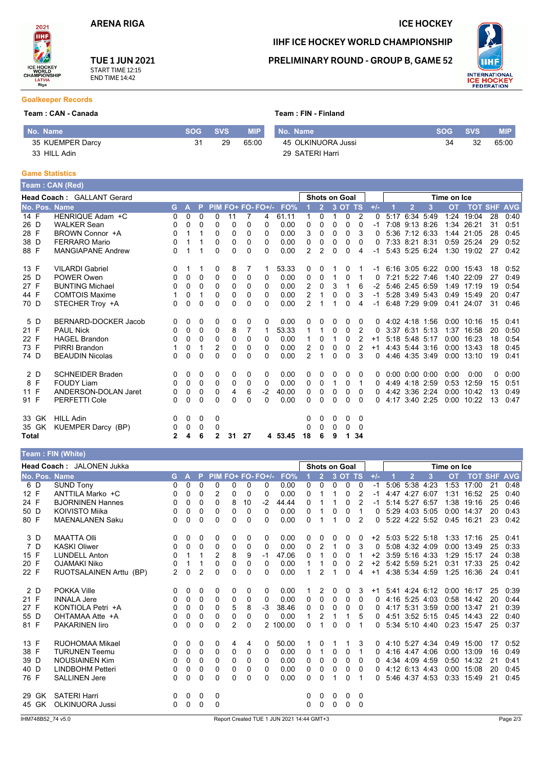### **ICE HOCKEY**

IIHF ICE HOCKEY WORLD CHAMPIONSHIP **PRELIMINARY ROUND - GROUP B, GAME 52** 

**UHF** INTERNATIONAL<br>**ICE HOCKEY**<br>FEDERATION



## **TUE 1 JUN 2021** START TIME 12:15<br>END TIME 14:42

### **Goalkeeper Records**

### Team: CAN - Canada

| No. Name         | <b>SOG</b> | <b>SVS</b> | MIP'  | No. Name           | SOG. | <b>SVS</b> | <b>MIP</b> |
|------------------|------------|------------|-------|--------------------|------|------------|------------|
| 35 KUEMPER Darcy | 31         | 29         | 65:00 | 45 OLKINUORA Jussi | 34   | 32         | 65:00      |
| 33 HILL Adin     |            |            |       | 29 SATERI Harri    |      |            |            |

Team: FIN - Finland

### **Game Statistics**

|              |       | Team : CAN (Red)           |          |          |              |                   |              |                |                   |         |                |                |                      |              |                |          |                |                      |                |           |              |    |                |
|--------------|-------|----------------------------|----------|----------|--------------|-------------------|--------------|----------------|-------------------|---------|----------------|----------------|----------------------|--------------|----------------|----------|----------------|----------------------|----------------|-----------|--------------|----|----------------|
|              |       | Head Coach: GALLANT Gerard |          |          |              |                   |              |                |                   |         |                |                | <b>Shots on Goal</b> |              |                |          | Time on Ice    |                      |                |           |              |    |                |
|              |       | No. Pos. Name              | G.       | A        | P            |                   |              |                | PIM FO+ FO- FO+/- | FO%     |                |                |                      | 3 OT TS      |                | $+/-$    |                | $\overline{2}$       | 3              | <b>OT</b> | <b>TOT</b>   |    | <b>SHF AVG</b> |
| 14 F         |       | HENRIQUE Adam +C           | 0        | $\Omega$ | $\Omega$     | $\mathbf{0}$      | 11           | 7              | 4                 | 61.11   |                | 0              |                      | $\Omega$     | $\overline{2}$ | $\Omega$ |                | 5:17 6:34 5:49       |                | 1:24      | 19:04        | 28 | 0:40           |
| 26 D         |       | <b>WALKER Sean</b>         | 0        | 0        | $\Omega$     | $\Omega$          | $\Omega$     | $\Omega$       | 0                 | 0.00    | 0              | 0              | $\Omega$             | $\Omega$     | $\Omega$       | $-1$     |                | 7:08 9:13 8:26       |                | 1:34      | 26:21        | 31 | 0:51           |
| 28 F         |       | BROWN Connor +A            | 0        |          |              | 0                 | $\mathbf{0}$ | 0              | 0                 | 0.00    | 3              | $\mathbf{0}$   | $\mathbf{0}$         | 0            | 3              | 0        |                | 5:36 7:12 6:33       |                |           | 1:44 21:05   | 28 | 0:45           |
| 38 D         |       | <b>FERRARO Mario</b>       | 0        |          |              | $\Omega$          | 0            | 0              | 0                 | 0.00    | 0              | 0              | $\Omega$             | $\Omega$     | $\Omega$       | 0        |                | 7:33 8:21 8:31       |                |           | 0:59 25:24   | 29 | 0:52           |
| 88 F         |       | <b>MANGIAPANE Andrew</b>   | 0        |          |              | $\Omega$          | $\Omega$     | $\Omega$       | 0                 | 0.00    | $\overline{2}$ | $\overline{2}$ | $\Omega$             | $\Omega$     | 4              | $-1$     |                |                      | 5:43 5:25 6:24 |           | 1:30 19:02   | 27 | 0:42           |
| 13 F         |       | <b>VILARDI Gabriel</b>     | 0        |          | 1            | 0                 | 8            | 7              | 1                 | 53.33   | 0              | 0              |                      | 0            |                | -1       | 6:16 3:05 6:22 |                      |                |           | 0:00 15:43   | 18 | 0:52           |
| 25 D         |       | POWER Owen                 | 0        | 0        | $\Omega$     | 0                 | 0            | 0              | 0                 | 0.00    | 0              | 0              |                      | $\Omega$     |                | $\Omega$ |                | 7:21 5:22 7:46       |                | 1:40      | 22:09        | 27 | 0:49           |
| 27 F         |       | <b>BUNTING Michael</b>     | 0        | 0        | $\Omega$     | 0                 | $\Omega$     | 0              | 0                 | 0.00    | 2              | $\mathbf{0}$   | 3                    | 1            | 6              | $-2$     |                | 5:46 2:45 6:59       |                |           | 1.49 17:19   | 19 | 0:54           |
| 44 F         |       | <b>COMTOIS Maxime</b>      |          | 0        |              | 0                 | $\mathbf{0}$ | 0              | 0                 | 0.00    | 2              |                | 0                    | 0            | 3              | -1       |                | 5:28 3:49 5:43       |                | 0:49      | 15:49        | 20 | 0:47           |
| 70 D         |       | STECHER Troy +A            | 0        | 0        | $\Omega$     | $\Omega$          | $\Omega$     | 0              | 0                 | 0.00    | 2              |                |                      | <sup>0</sup> | 4              | $-1$     |                | 6:48 7:29 9:09       |                |           | 0:41 24:07   | 31 | 0:46           |
| 5 D          |       | BERNARD-DOCKER Jacob       | $\Omega$ | 0        | $\Omega$     | 0                 | 0            | 0              | 0                 | 0.00    | 0              | 0              | $\Omega$             | 0            | 0              | $\Omega$ |                | 4:02 4:18 1:56       |                |           | $0:00$ 10:16 | 15 | 0:41           |
| 21 F         |       | <b>PAUL Nick</b>           | 0        | $\Omega$ | $\Omega$     | $\Omega$          | 8            | $\overline{7}$ | 1                 | 53.33   |                | 1              | 0                    | 0            | 2              | 0        |                | 3:37 6:31 5:13       |                | 1:37      | 16:58        | 20 | 0:50           |
| 22 F         |       | <b>HAGEL Brandon</b>       | 0        | 0        | $\Omega$     | $\Omega$          | $\mathbf{0}$ | 0              | 0                 | 0.00    |                | $\mathbf{0}$   |                      | $\Omega$     | 2              | $+1$     |                | 5:18 5:48 5:17       |                |           | $0:00$ 16:23 | 18 | 0:54           |
| 73 F         |       | PIRRI Brandon              |          | 0        |              | 2                 | $\Omega$     | 0              | 0                 | 0.00    | 2              | 0              | $\mathbf{0}$         | $\Omega$     | $\overline{2}$ | $+1$     |                | 4.43 5.44 3.16       |                |           | $0:00$ 13:43 | 18 | 0:45           |
| 74 D         |       | <b>BEAUDIN Nicolas</b>     | 0        | 0        | $\Omega$     | $\Omega$          | 0            | 0              | 0                 | 0.00    | $\mathcal{P}$  | 1              | $\mathbf{0}$         | $\Omega$     | 3              | 0        |                | 4:46 4:35 3:49       |                | 0:00      | 13:10        | 19 | 0:41           |
| 2 D          |       | <b>SCHNEIDER Braden</b>    | 0        | 0        | 0            | 0                 | 0            | 0              | 0                 | 0.00    | 0              | 0              | 0                    | 0            | $\Omega$       | 0        |                | $0:00$ $0:00$ $0:00$ |                | 0:00      | 0:00         | 0  | 0:00           |
| 8 F          |       | <b>FOUDY Liam</b>          | 0        | 0        | $\mathbf{0}$ | $\mathbf{0}$      | $\mathbf{0}$ | $\Omega$       | $\Omega$          | 0.00    | 0              | $\mathbf{0}$   | 1                    | 0            | -1             | $\Omega$ |                | 4:49 4:18 2:59       |                | 0:53      | 12:59        | 15 | 0:51           |
| 11 F         |       | ANDERSON-DOLAN Jaret       | 0        | 0        | 0            | 0                 | 4            | 6              | $-2$              | 40.00   | 0              | 0              | $\Omega$             | $\Omega$     | $\Omega$       | 0        |                | 4:42 3:36 2:24       |                | 0:00      | 10:42        | 13 | 0:49           |
| 91 F         |       | <b>PERFETTI Cole</b>       | 0        | 0        | 0            | $\Omega$          | $\Omega$     | $\Omega$       | 0                 | 0.00    | 0              | 0              | $\mathbf{0}$         | $\Omega$     | $\Omega$       | $\Omega$ |                | 4:17 3:40 2:25       |                |           | 0:00 10:22   | 13 | 0:47           |
|              | 33 GK | <b>HILL Adin</b>           | 0        | 0        | $\mathbf 0$  | 0                 |              |                |                   |         | 0              | 0              | $\Omega$             | 0            | - 0            |          |                |                      |                |           |              |    |                |
|              | 35 GK | <b>KUEMPER Darcy (BP)</b>  | 0<br>2   | 0        | 0            | 0<br>$\mathbf{2}$ | 31           | 27             |                   |         | 0<br>18        | 0              | $\Omega$             | 0            | - 0<br>34      |          |                |                      |                |           |              |    |                |
| <b>Total</b> |       |                            |          | 4        | 6            |                   |              |                |                   | 4 53.45 |                | 6              | 9                    |              |                |          |                |                      |                |           |              |    |                |

## Team : FIN (White)

|      | <b>Head Coach: JALONEN Jukka</b><br><b>Shots on Goal</b> |                         |          |   |          |                   |          |    |      |          |          |                | Time on Ice  |          |          |       |                |                |      |           |                |    |            |
|------|----------------------------------------------------------|-------------------------|----------|---|----------|-------------------|----------|----|------|----------|----------|----------------|--------------|----------|----------|-------|----------------|----------------|------|-----------|----------------|----|------------|
|      |                                                          | No. Pos. Name           | G        | А |          | PIM FO+ FO- FO+/- |          |    |      | FO%      |          | $\overline{2}$ | 3 OT         |          | TS       | $+/-$ |                | $\overline{2}$ | 3    | <b>OT</b> | <b>TOT SHF</b> |    | <b>AVG</b> |
|      | 6 D                                                      | <b>SUND Tony</b>        | 0        | 0 | $\Omega$ | $\Omega$          | $\Omega$ | 0  | 0    | 0.00     | $\Omega$ | $\mathbf{0}$   | $\Omega$     | $\Omega$ | 0        | $-1$  | 5:06 5:38 4:23 |                |      | 1:53      | 17:00          | 21 | 0:48       |
| 12 F |                                                          | ANTTILA Marko +C        | 0        | 0 | 0        | 2                 | 0        | 0  | 0    | 0.00     | 0        |                |              | 0        | 2        | -1    | 4:47           | 4:27           | 6:07 | 1:31      | 16:52          | 25 | 0:40       |
| 24 F |                                                          | <b>BJORNINEN Hannes</b> | 0        | 0 | 0        | $\Omega$          | 8        | 10 | $-2$ | 44.44    | 0        |                |              | 0        | 2        | -1    | 5:14           | 5:27           | 6:57 | 1:38      | 19:16          | 25 | 0:46       |
| 50 D |                                                          | <b>KOIVISTO Miika</b>   | 0        | 0 | 0        | 0                 | 0        | 0  | 0    | 0.00     | 0        |                | 0            | 0        |          | 0     | 5:29 4:03 5:05 |                |      | 0:00      | 14:37          | 20 | 0:43       |
| 80 F |                                                          | <b>MAENALANEN Saku</b>  | 0        | 0 | 0        | 0                 | 0        | 0  | 0    | 0.00     | 0        |                | 1            | 0        | 2        | 0     | 5:22 4:22 5:52 |                |      | 0.45      | 16:21          | 23 | 0:42       |
|      | 3 D                                                      | <b>MAATTA Olli</b>      | $\Omega$ | 0 | 0        | 0                 | 0        | 0  | 0    | 0.00     | 0        | $\mathbf{0}$   | 0            | 0        | 0        | $+2$  | 5:03 5:22 5:18 |                |      |           | 1:33 17:16     | 25 | 0.41       |
|      | 7 D                                                      | <b>KASKI Oliwer</b>     | 0        | 0 | $\Omega$ | 0                 | 0        | 0  | 0    | 0.00     | 0        | 2              |              | 0        | 3        | 0     | 5:08 4:32 4:09 |                |      | 0:00      | 13:49          | 25 | 0:33       |
| 15 F |                                                          | <b>LUNDELL Anton</b>    | $\Omega$ |   |          | $\overline{2}$    | 8        | 9  | -1   | 47.06    | 0        |                | 0            | $\Omega$ |          | $+2$  | 3:59 5:16 4:33 |                |      | 1:29      | 15:17          | 24 | 0:38       |
| 20 F |                                                          | <b>OJAMAKI Niko</b>     | 0        |   |          | 0                 | 0        | 0  | 0    | 0.00     |          |                | 0            | 0        | 2        | $+2$  | 5:42 5:59 5:21 |                |      | 0:31      | 17:33          | 25 | 0:42       |
| 22 F |                                                          | RUOTSALAINEN Arttu (BP) | 2        | 0 | 2        | $\Omega$          | 0        | 0  | 0    | 0.00     |          | 2              |              | $\Omega$ | 4        | $+1$  | 4:38 5:34 4:59 |                |      | 1:25      | 16:36          | 24 | 0:41       |
|      | 2 D                                                      | <b>POKKA Ville</b>      | 0        | 0 | 0        | 0                 | $\Omega$ | 0  | 0    | 0.00     |          | 2              | 0            | 0        | 3        | $+1$  | 5:41 4:24 6:12 |                |      |           | $0:00$ 16:17   | 25 | 0:39       |
| 21 F |                                                          | <b>INNALA Jere</b>      | 0        | 0 | 0        | 0                 | 0        | 0  | 0    | 0.00     | 0        | $\mathbf{0}$   | $\mathbf{0}$ | 0        | 0        | 0     | 4:16 5:25 4:03 |                |      | 0.58      | 14:42          | 20 | 0:44       |
| 27 F |                                                          | KONTIOLA Petri +A       | 0        | 0 | 0        | 0                 | 5        | 8  | -3   | 38.46    | 0        | 0              | 0            | 0        | 0        | 0     | 4:17 5:31 3:59 |                |      | 0:00      | 13:47          | 21 | 0:39       |
| 55 D |                                                          | OHTAMAA Atte +A         | 0        | 0 | 0        | 0                 | 0        | 0  | 0    | 0.00     |          | 2              |              |          | 5        | 0     | 4:51 3:52 5:15 |                |      | 0:45      | 14:43          | 22 | 0:40       |
| 81 F |                                                          | <b>PAKARINEN liro</b>   | 0        | 0 | 0        | $\Omega$          | 2        | 0  |      | 2 100.00 | 0        |                | 0            | 0        |          | 0     | 5:34 5:10 4:40 |                |      | 0:23      | 15:47          | 25 | 0:37       |
| 13 F |                                                          | <b>RUOHOMAA Mikael</b>  | 0        | 0 | 0        | 0                 | 4        | 4  | 0    | 50.00    |          | $\Omega$       |              |          | 3        | 0     | 4:10 5:27 4:34 |                |      | 0:49      | 15:00          | 17 | 0:52       |
| 38 F |                                                          | <b>TURUNEN Teemu</b>    | 0        | 0 | 0        | 0                 | 0        | 0  | 0    | 0.00     | 0        |                | 0            | 0        |          | 0     | 4:16 4:47 4:06 |                |      | 0:00      | 13:09          | 16 | 0:49       |
| 39 D |                                                          | <b>NOUSIAINEN Kim</b>   | 0        | 0 | 0        | 0                 | 0        | 0  | 0    | 0.00     | 0        | 0              | $\Omega$     | 0        | 0        | 0     | 4.34           | 4:09 4:59      |      | 0:50      | 14:32          | 21 | 0:41       |
| 40 D |                                                          | <b>LINDBOHM Petteri</b> | 0        | 0 | 0        | 0                 | 0        | 0  | 0    | 0.00     | 0        | 0              | 0            | 0        | 0        | 0     | 4:12 6:13 4:43 |                |      | 0:00      | 15:08          | 20 | 0:45       |
| 76 F |                                                          | <b>SALLINEN Jere</b>    | 0        | 0 | 0        | 0                 | 0        | 0  | 0    | 0.00     | 0        | 0              |              | 0        |          | 0     | 5:46 4:37      |                | 4:53 | 0:33      | 15:49          | 21 | 0:45       |
|      | 29 GK                                                    | <b>SATERI Harri</b>     | 0        | 0 | 0        | 0                 |          |    |      |          | 0        | 0              | $\Omega$     | 0        | 0        |       |                |                |      |           |                |    |            |
|      | 45 GK                                                    | <b>OLKINUORA Jussi</b>  | $\Omega$ | 0 | $\Omega$ | 0                 |          |    |      |          | 0        | $\Omega$       | 0            | 0        | $\Omega$ |       |                |                |      |           |                |    |            |